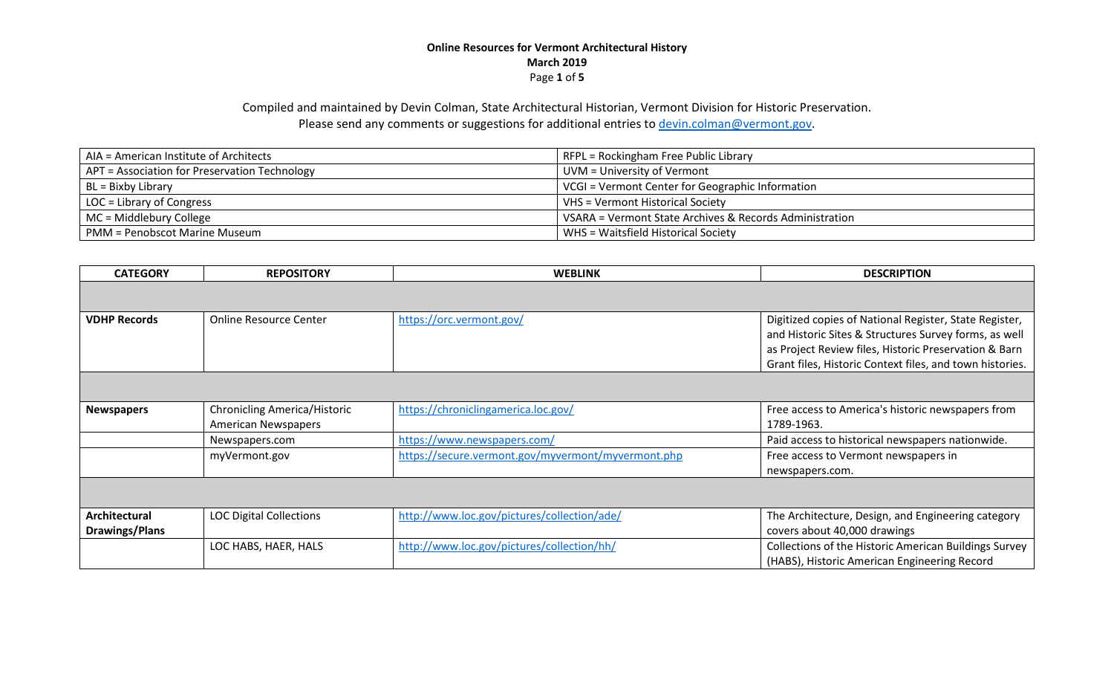### **Online Resources for Vermont Architectural History March 2019** Page **1** of **5**

# Compiled and maintained by Devin Colman, State Architectural Historian, Vermont Division for Historic Preservation. Please send any comments or suggestions for additional entries to [devin.colman@vermont.gov.](mailto:devin.colman@vermont.gov)

| AIA = American Institute of Architects        | RFPL = Rockingham Free Public Library                   |
|-----------------------------------------------|---------------------------------------------------------|
| APT = Association for Preservation Technology | UVM = University of Vermont                             |
| $BL = Bixby Library$                          | VCGI = Vermont Center for Geographic Information        |
| LOC = Library of Congress                     | VHS = Vermont Historical Society                        |
| MC = Middlebury College                       | VSARA = Vermont State Archives & Records Administration |
| <b>PMM = Penobscot Marine Museum</b>          | WHS = Waitsfield Historical Society                     |

| <b>CATEGORY</b>                        | <b>REPOSITORY</b>                                                 | <b>WEBLINK</b>                                     | <b>DESCRIPTION</b>                                                                                                                                                                                                                   |
|----------------------------------------|-------------------------------------------------------------------|----------------------------------------------------|--------------------------------------------------------------------------------------------------------------------------------------------------------------------------------------------------------------------------------------|
|                                        |                                                                   |                                                    |                                                                                                                                                                                                                                      |
| <b>VDHP Records</b>                    | <b>Online Resource Center</b>                                     | https://orc.vermont.gov/                           | Digitized copies of National Register, State Register,<br>and Historic Sites & Structures Survey forms, as well<br>as Project Review files, Historic Preservation & Barn<br>Grant files, Historic Context files, and town histories. |
|                                        |                                                                   |                                                    |                                                                                                                                                                                                                                      |
| <b>Newspapers</b>                      | <b>Chronicling America/Historic</b><br><b>American Newspapers</b> | https://chroniclingamerica.loc.gov/                | Free access to America's historic newspapers from<br>1789-1963.                                                                                                                                                                      |
|                                        | Newspapers.com                                                    | https://www.newspapers.com/                        | Paid access to historical newspapers nationwide.                                                                                                                                                                                     |
|                                        | myVermont.gov                                                     | https://secure.vermont.gov/myvermont/myvermont.php | Free access to Vermont newspapers in<br>newspapers.com.                                                                                                                                                                              |
|                                        |                                                                   |                                                    |                                                                                                                                                                                                                                      |
| Architectural<br><b>Drawings/Plans</b> | <b>LOC Digital Collections</b>                                    | http://www.loc.gov/pictures/collection/ade/        | The Architecture, Design, and Engineering category<br>covers about 40,000 drawings                                                                                                                                                   |
|                                        | LOC HABS, HAER, HALS                                              | http://www.loc.gov/pictures/collection/hh/         | Collections of the Historic American Buildings Survey<br>(HABS), Historic American Engineering Record                                                                                                                                |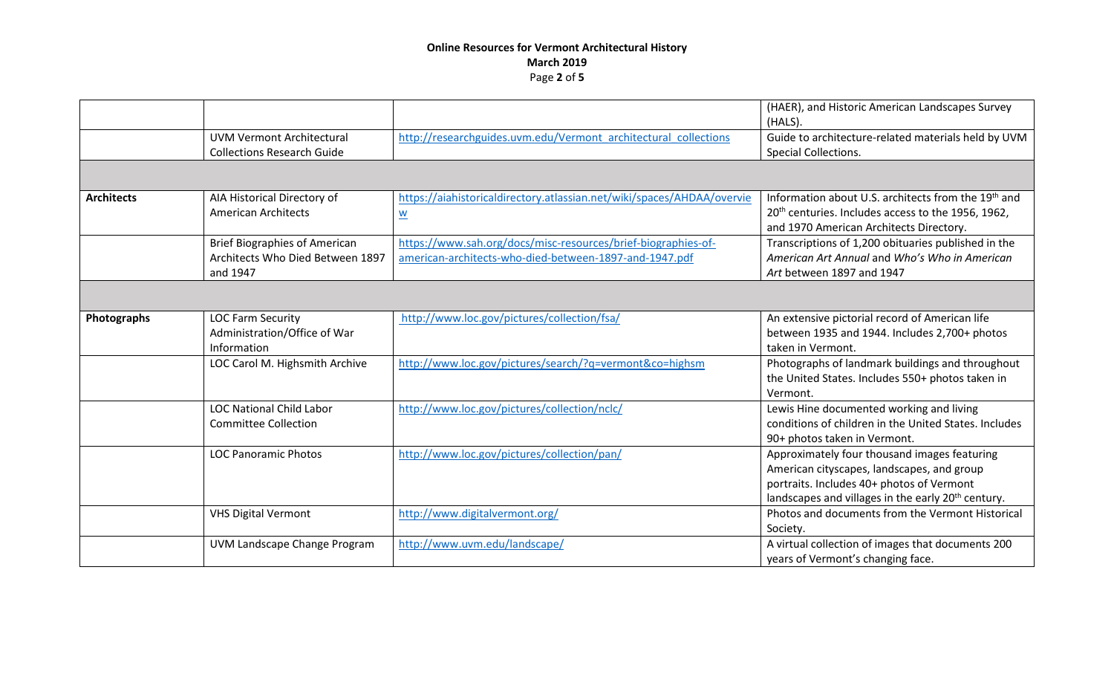## **Online Resources for Vermont Architectural History March 2019** Page **2** of **5**

|                   |                                                                                      |                                                                                                                         | (HAER), and Historic American Landscapes Survey<br>(HALS).                                                                                                                                                |
|-------------------|--------------------------------------------------------------------------------------|-------------------------------------------------------------------------------------------------------------------------|-----------------------------------------------------------------------------------------------------------------------------------------------------------------------------------------------------------|
|                   | <b>UVM Vermont Architectural</b><br><b>Collections Research Guide</b>                | http://researchguides.uvm.edu/Vermont architectural collections                                                         | Guide to architecture-related materials held by UVM<br>Special Collections.                                                                                                                               |
|                   |                                                                                      |                                                                                                                         |                                                                                                                                                                                                           |
| <b>Architects</b> | AIA Historical Directory of<br><b>American Architects</b>                            | https://aiahistoricaldirectory.atlassian.net/wiki/spaces/AHDAA/overvie<br>$\underline{\mathsf{w}}$                      | Information about U.S. architects from the 19 <sup>th</sup> and<br>20 <sup>th</sup> centuries. Includes access to the 1956, 1962,<br>and 1970 American Architects Directory.                              |
|                   | <b>Brief Biographies of American</b><br>Architects Who Died Between 1897<br>and 1947 | https://www.sah.org/docs/misc-resources/brief-biographies-of-<br>american-architects-who-died-between-1897-and-1947.pdf | Transcriptions of 1,200 obituaries published in the<br>American Art Annual and Who's Who in American<br>Art between 1897 and 1947                                                                         |
|                   |                                                                                      |                                                                                                                         |                                                                                                                                                                                                           |
| Photographs       | <b>LOC Farm Security</b><br>Administration/Office of War<br>Information              | http://www.loc.gov/pictures/collection/fsa/                                                                             | An extensive pictorial record of American life<br>between 1935 and 1944. Includes 2,700+ photos<br>taken in Vermont.                                                                                      |
|                   | LOC Carol M. Highsmith Archive                                                       | http://www.loc.gov/pictures/search/?q=vermont&co=highsm                                                                 | Photographs of landmark buildings and throughout<br>the United States. Includes 550+ photos taken in<br>Vermont.                                                                                          |
|                   | <b>LOC National Child Labor</b><br><b>Committee Collection</b>                       | http://www.loc.gov/pictures/collection/nclc/                                                                            | Lewis Hine documented working and living<br>conditions of children in the United States. Includes<br>90+ photos taken in Vermont.                                                                         |
|                   | <b>LOC Panoramic Photos</b>                                                          | http://www.loc.gov/pictures/collection/pan/                                                                             | Approximately four thousand images featuring<br>American cityscapes, landscapes, and group<br>portraits. Includes 40+ photos of Vermont<br>landscapes and villages in the early 20 <sup>th</sup> century. |
|                   | <b>VHS Digital Vermont</b>                                                           | http://www.digitalvermont.org/                                                                                          | Photos and documents from the Vermont Historical<br>Society.                                                                                                                                              |
|                   | UVM Landscape Change Program                                                         | http://www.uvm.edu/landscape/                                                                                           | A virtual collection of images that documents 200<br>years of Vermont's changing face.                                                                                                                    |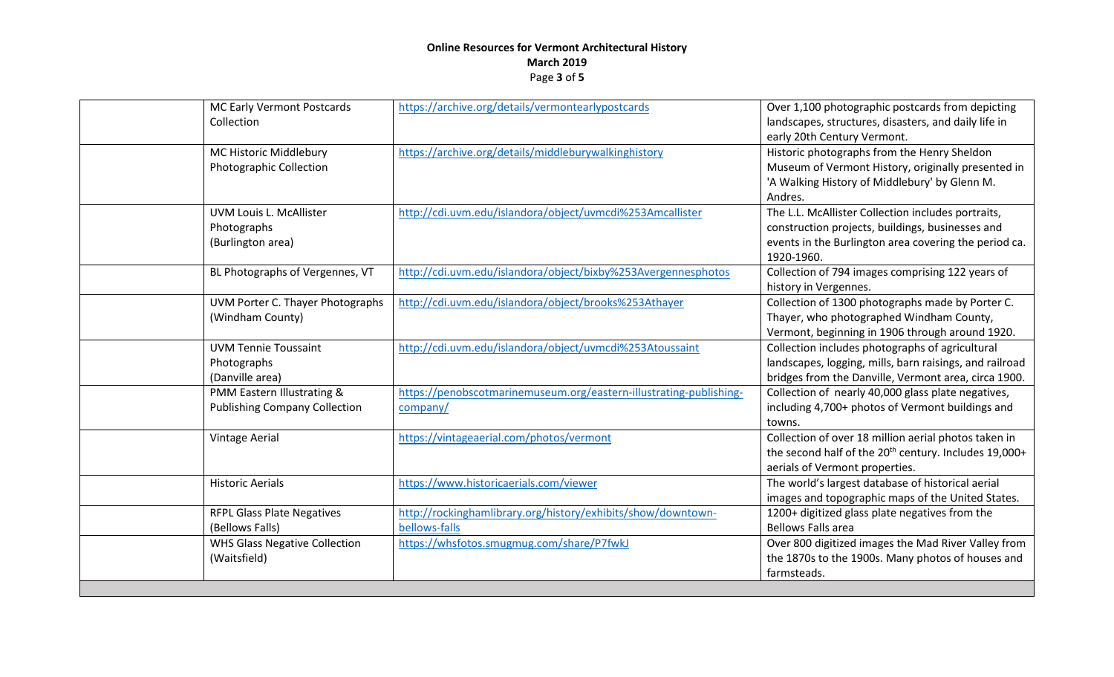## **Online Resources for Vermont Architectural History March 2019** Page **3** of **5**

| MC Early Vermont Postcards<br>Collection                           |               | https://archive.org/details/vermontearlypostcards                  | Over 1,100 photographic postcards from depicting<br>landscapes, structures, disasters, and daily life in<br>early 20th Century Vermont.                                       |
|--------------------------------------------------------------------|---------------|--------------------------------------------------------------------|-------------------------------------------------------------------------------------------------------------------------------------------------------------------------------|
| MC Historic Middlebury<br><b>Photographic Collection</b>           |               | https://archive.org/details/middleburywalkinghistory               | Historic photographs from the Henry Sheldon<br>Museum of Vermont History, originally presented in<br>'A Walking History of Middlebury' by Glenn M.<br>Andres.                 |
| UVM Louis L. McAllister<br>Photographs<br>(Burlington area)        |               | http://cdi.uvm.edu/islandora/object/uvmcdi%253Amcallister          | The L.L. McAllister Collection includes portraits,<br>construction projects, buildings, businesses and<br>events in the Burlington area covering the period ca.<br>1920-1960. |
| BL Photographs of Vergennes, VT                                    |               | http://cdi.uvm.edu/islandora/object/bixby%253Avergennesphotos      | Collection of 794 images comprising 122 years of<br>history in Vergennes.                                                                                                     |
| UVM Porter C. Thayer Photographs<br>(Windham County)               |               | http://cdi.uvm.edu/islandora/object/brooks%253Athayer              | Collection of 1300 photographs made by Porter C.<br>Thayer, who photographed Windham County,<br>Vermont, beginning in 1906 through around 1920.                               |
| <b>UVM Tennie Toussaint</b><br>Photographs<br>(Danville area)      |               | http://cdi.uvm.edu/islandora/object/uvmcdi%253Atoussaint           | Collection includes photographs of agricultural<br>landscapes, logging, mills, barn raisings, and railroad<br>bridges from the Danville, Vermont area, circa 1900.            |
| PMM Eastern Illustrating &<br><b>Publishing Company Collection</b> | company/      | https://penobscotmarinemuseum.org/eastern-illustrating-publishing- | Collection of nearly 40,000 glass plate negatives,<br>including 4,700+ photos of Vermont buildings and<br>towns.                                                              |
| Vintage Aerial                                                     |               | https://vintageaerial.com/photos/vermont                           | Collection of over 18 million aerial photos taken in<br>the second half of the 20 <sup>th</sup> century. Includes 19,000+<br>aerials of Vermont properties.                   |
| <b>Historic Aerials</b>                                            |               | https://www.historicaerials.com/viewer                             | The world's largest database of historical aerial<br>images and topographic maps of the United States.                                                                        |
| <b>RFPL Glass Plate Negatives</b><br>(Bellows Falls)               | bellows-falls | http://rockinghamlibrary.org/history/exhibits/show/downtown-       | 1200+ digitized glass plate negatives from the<br><b>Bellows Falls area</b>                                                                                                   |
| <b>WHS Glass Negative Collection</b><br>(Waitsfield)               |               | https://whsfotos.smugmug.com/share/P7fwkJ                          | Over 800 digitized images the Mad River Valley from<br>the 1870s to the 1900s. Many photos of houses and<br>farmsteads.                                                       |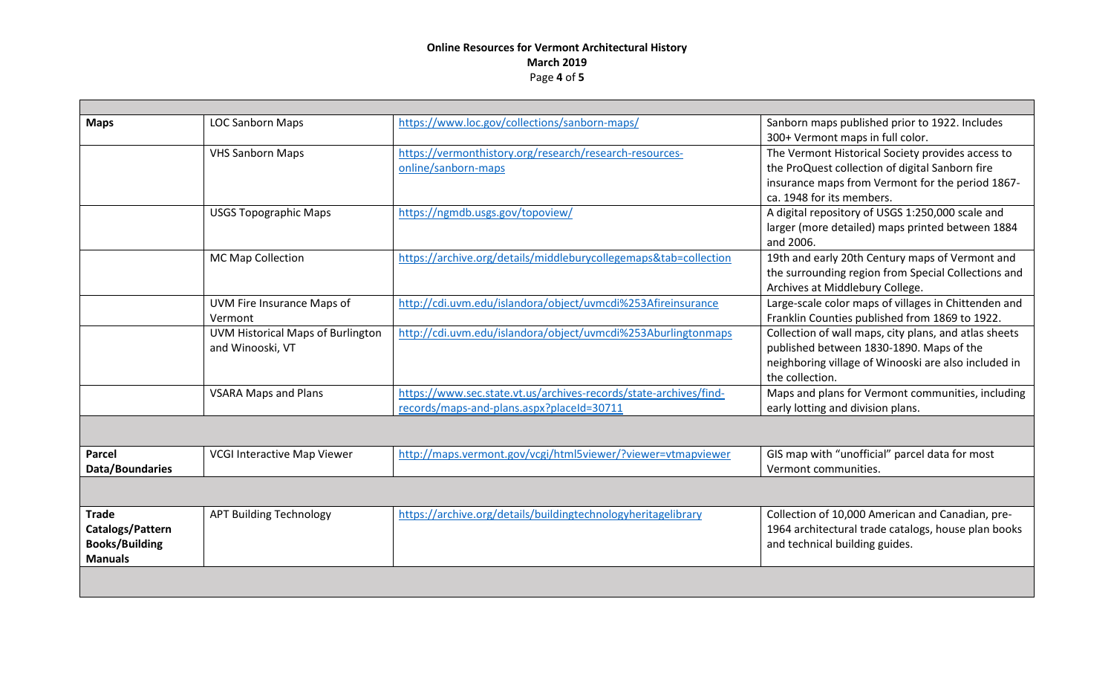## **Online Resources for Vermont Architectural History March 2019** Page **4** of **5**

| <b>Maps</b>           | <b>LOC Sanborn Maps</b>            | https://www.loc.gov/collections/sanborn-maps/                     | Sanborn maps published prior to 1922. Includes<br>300+ Vermont maps in full color. |
|-----------------------|------------------------------------|-------------------------------------------------------------------|------------------------------------------------------------------------------------|
|                       | <b>VHS Sanborn Maps</b>            | https://vermonthistory.org/research/research-resources-           | The Vermont Historical Society provides access to                                  |
|                       |                                    | online/sanborn-maps                                               | the ProQuest collection of digital Sanborn fire                                    |
|                       |                                    |                                                                   | insurance maps from Vermont for the period 1867-                                   |
|                       |                                    |                                                                   | ca. 1948 for its members.                                                          |
|                       | <b>USGS Topographic Maps</b>       | https://ngmdb.usgs.gov/topoview/                                  | A digital repository of USGS 1:250,000 scale and                                   |
|                       |                                    |                                                                   | larger (more detailed) maps printed between 1884                                   |
|                       |                                    |                                                                   | and 2006.                                                                          |
|                       | MC Map Collection                  | https://archive.org/details/middleburycollegemaps&tab=collection  | 19th and early 20th Century maps of Vermont and                                    |
|                       |                                    |                                                                   | the surrounding region from Special Collections and                                |
|                       |                                    |                                                                   | Archives at Middlebury College.                                                    |
|                       | UVM Fire Insurance Maps of         | http://cdi.uvm.edu/islandora/object/uvmcdi%253Afireinsurance      | Large-scale color maps of villages in Chittenden and                               |
|                       | Vermont                            |                                                                   | Franklin Counties published from 1869 to 1922.                                     |
|                       | UVM Historical Maps of Burlington  | http://cdi.uvm.edu/islandora/object/uvmcdi%253Aburlingtonmaps     | Collection of wall maps, city plans, and atlas sheets                              |
|                       | and Winooski, VT                   |                                                                   | published between 1830-1890. Maps of the                                           |
|                       |                                    |                                                                   | neighboring village of Winooski are also included in                               |
|                       |                                    |                                                                   | the collection.                                                                    |
|                       | <b>VSARA Maps and Plans</b>        | https://www.sec.state.vt.us/archives-records/state-archives/find- | Maps and plans for Vermont communities, including                                  |
|                       |                                    | records/maps-and-plans.aspx?placeId=30711                         | early lotting and division plans.                                                  |
|                       |                                    |                                                                   |                                                                                    |
| <b>Parcel</b>         | <b>VCGI Interactive Map Viewer</b> | http://maps.vermont.gov/vcgi/html5viewer/?viewer=vtmapviewer      | GIS map with "unofficial" parcel data for most                                     |
| Data/Boundaries       |                                    |                                                                   | Vermont communities.                                                               |
|                       |                                    |                                                                   |                                                                                    |
| <b>Trade</b>          | <b>APT Building Technology</b>     | https://archive.org/details/buildingtechnologyheritagelibrary     | Collection of 10,000 American and Canadian, pre-                                   |
| Catalogs/Pattern      |                                    |                                                                   | 1964 architectural trade catalogs, house plan books                                |
| <b>Books/Building</b> |                                    |                                                                   | and technical building guides.                                                     |
| <b>Manuals</b>        |                                    |                                                                   |                                                                                    |
|                       |                                    |                                                                   |                                                                                    |
|                       |                                    |                                                                   |                                                                                    |